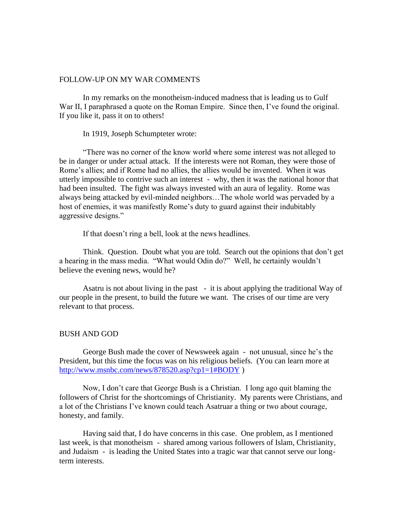# FOLLOW-UP ON MY WAR COMMENTS

In my remarks on the monotheism-induced madness that is leading us to Gulf War II, I paraphrased a quote on the Roman Empire. Since then, I've found the original. If you like it, pass it on to others!

In 1919, Joseph Schumpteter wrote:

"There was no corner of the know world where some interest was not alleged to be in danger or under actual attack. If the interests were not Roman, they were those of Rome's allies; and if Rome had no allies, the allies would be invented. When it was utterly impossible to contrive such an interest - why, then it was the national honor that had been insulted. The fight was always invested with an aura of legality. Rome was always being attacked by evil-minded neighbors…The whole world was pervaded by a host of enemies, it was manifestly Rome's duty to guard against their indubitably aggressive designs."

If that doesn't ring a bell, look at the news headlines.

Think. Question. Doubt what you are told. Search out the opinions that don't get a hearing in the mass media. "What would Odin do?" Well, he certainly wouldn't believe the evening news, would he?

Asatru is not about living in the past - it is about applying the traditional Way of our people in the present, to build the future we want. The crises of our time are very relevant to that process.

#### BUSH AND GOD

George Bush made the cover of Newsweek again - not unusual, since he's the President, but this time the focus was on his religious beliefs. (You can learn more at <http://www.msnbc.com/news/878520.asp?cp1=1#BODY> )

Now, I don't care that George Bush is a Christian. I long ago quit blaming the followers of Christ for the shortcomings of Christianity. My parents were Christians, and a lot of the Christians I've known could teach Asatruar a thing or two about courage, honesty, and family.

Having said that, I do have concerns in this case. One problem, as I mentioned last week, is that monotheism - shared among various followers of Islam, Christianity, and Judaism - is leading the United States into a tragic war that cannot serve our longterm interests.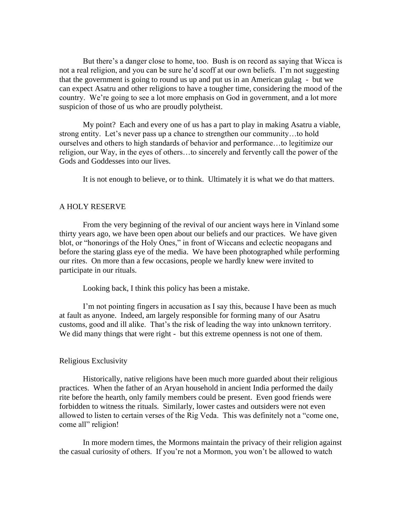But there's a danger close to home, too. Bush is on record as saying that Wicca is not a real religion, and you can be sure he'd scoff at our own beliefs. I'm not suggesting that the government is going to round us up and put us in an American gulag - but we can expect Asatru and other religions to have a tougher time, considering the mood of the country. We're going to see a lot more emphasis on God in government, and a lot more suspicion of those of us who are proudly polytheist.

My point? Each and every one of us has a part to play in making Asatru a viable, strong entity. Let's never pass up a chance to strengthen our community…to hold ourselves and others to high standards of behavior and performance…to legitimize our religion, our Way, in the eyes of others…to sincerely and fervently call the power of the Gods and Goddesses into our lives.

It is not enough to believe, or to think. Ultimately it is what we do that matters.

## A HOLY RESERVE

From the very beginning of the revival of our ancient ways here in Vinland some thirty years ago, we have been open about our beliefs and our practices. We have given blot, or "honorings of the Holy Ones," in front of Wiccans and eclectic neopagans and before the staring glass eye of the media. We have been photographed while performing our rites. On more than a few occasions, people we hardly knew were invited to participate in our rituals.

Looking back, I think this policy has been a mistake.

I'm not pointing fingers in accusation as I say this, because I have been as much at fault as anyone. Indeed, am largely responsible for forming many of our Asatru customs, good and ill alike. That's the risk of leading the way into unknown territory. We did many things that were right - but this extreme openness is not one of them.

#### Religious Exclusivity

Historically, native religions have been much more guarded about their religious practices. When the father of an Aryan household in ancient India performed the daily rite before the hearth, only family members could be present. Even good friends were forbidden to witness the rituals. Similarly, lower castes and outsiders were not even allowed to listen to certain verses of the Rig Veda. This was definitely not a "come one, come all" religion!

In more modern times, the Mormons maintain the privacy of their religion against the casual curiosity of others. If you're not a Mormon, you won't be allowed to watch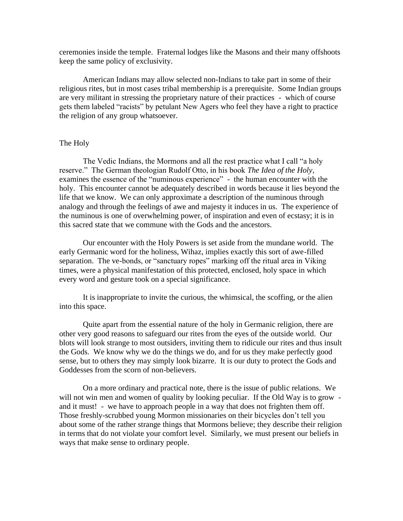ceremonies inside the temple. Fraternal lodges like the Masons and their many offshoots keep the same policy of exclusivity.

American Indians may allow selected non-Indians to take part in some of their religious rites, but in most cases tribal membership is a prerequisite. Some Indian groups are very militant in stressing the proprietary nature of their practices - which of course gets them labeled "racists" by petulant New Agers who feel they have a right to practice the religion of any group whatsoever.

### The Holy

The Vedic Indians, the Mormons and all the rest practice what I call "a holy reserve." The German theologian Rudolf Otto, in his book *The Idea of the Holy*, examines the essence of the "numinous experience" - the human encounter with the holy. This encounter cannot be adequately described in words because it lies beyond the life that we know. We can only approximate a description of the numinous through analogy and through the feelings of awe and majesty it induces in us. The experience of the numinous is one of overwhelming power, of inspiration and even of ecstasy; it is in this sacred state that we commune with the Gods and the ancestors.

Our encounter with the Holy Powers is set aside from the mundane world. The early Germanic word for the holiness, Wihaz, implies exactly this sort of awe-filled separation. The ve-bonds, or "sanctuary ropes" marking off the ritual area in Viking times, were a physical manifestation of this protected, enclosed, holy space in which every word and gesture took on a special significance.

It is inappropriate to invite the curious, the whimsical, the scoffing, or the alien into this space.

Quite apart from the essential nature of the holy in Germanic religion, there are other very good reasons to safeguard our rites from the eyes of the outside world. Our blots will look strange to most outsiders, inviting them to ridicule our rites and thus insult the Gods. We know why we do the things we do, and for us they make perfectly good sense, but to others they may simply look bizarre. It is our duty to protect the Gods and Goddesses from the scorn of non-believers.

On a more ordinary and practical note, there is the issue of public relations. We will not win men and women of quality by looking peculiar. If the Old Way is to grow and it must! - we have to approach people in a way that does not frighten them off. Those freshly-scrubbed young Mormon missionaries on their bicycles don't tell you about some of the rather strange things that Mormons believe; they describe their religion in terms that do not violate your comfort level. Similarly, we must present our beliefs in ways that make sense to ordinary people.